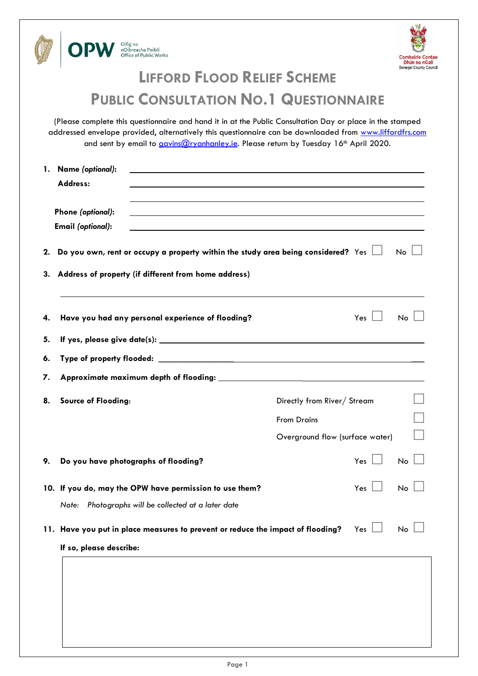



# **LIFFORD FLOOD RELIEF SCHEME**

## **PUBLIC CONSULTATION NO.1 QUESTIONNAIRE**

(Please complete this questionnaire and hand it in at the Public Consultation Day or place in the stamped addressed envelope provided, alternatively this questionnaire can be downloaded from [www.liffordfrs.com](http://www.liffordfrs.com/) and sent by email to *gavins@ryanhanley.ie*. Please return by Tuesday 16<sup>th</sup> April 2020.

| 1.                                                                                           | Name (optional):<br><u> 1989 - Johann Stoff, deutscher Stoff, der Stoff, der Stoff, der Stoff, der Stoff, der Stoff, der Stoff, der S</u> |                                                         |                                                                                                                  |                                 |           |  |  |  |
|----------------------------------------------------------------------------------------------|-------------------------------------------------------------------------------------------------------------------------------------------|---------------------------------------------------------|------------------------------------------------------------------------------------------------------------------|---------------------------------|-----------|--|--|--|
|                                                                                              | Address:                                                                                                                                  |                                                         |                                                                                                                  |                                 |           |  |  |  |
|                                                                                              |                                                                                                                                           |                                                         |                                                                                                                  |                                 |           |  |  |  |
|                                                                                              | Phone (optional):                                                                                                                         |                                                         | and the control of the control of the control of the control of the control of the control of the control of the |                                 |           |  |  |  |
|                                                                                              | <b>Email (optional):</b>                                                                                                                  |                                                         |                                                                                                                  |                                 |           |  |  |  |
| 2.                                                                                           |                                                                                                                                           |                                                         | Do you own, rent or occupy a property within the study area being considered? Yes $\Box$                         |                                 | No        |  |  |  |
| 3.                                                                                           | Address of property (if different from home address)                                                                                      |                                                         |                                                                                                                  |                                 |           |  |  |  |
| 4.                                                                                           |                                                                                                                                           | Have you had any personal experience of flooding?       |                                                                                                                  | Yes                             | <b>No</b> |  |  |  |
| 5.                                                                                           |                                                                                                                                           |                                                         |                                                                                                                  |                                 |           |  |  |  |
| 6.                                                                                           |                                                                                                                                           |                                                         |                                                                                                                  |                                 |           |  |  |  |
| 7.                                                                                           |                                                                                                                                           |                                                         |                                                                                                                  |                                 |           |  |  |  |
| 8.                                                                                           | Source of Flooding:                                                                                                                       |                                                         | Directly from River/ Stream                                                                                      |                                 |           |  |  |  |
|                                                                                              |                                                                                                                                           |                                                         | <b>From Drains</b>                                                                                               |                                 |           |  |  |  |
|                                                                                              |                                                                                                                                           |                                                         |                                                                                                                  | Overground flow (surface water) |           |  |  |  |
|                                                                                              |                                                                                                                                           |                                                         |                                                                                                                  |                                 |           |  |  |  |
| 9.                                                                                           |                                                                                                                                           | Do you have photographs of flooding?                    |                                                                                                                  | $Yes$ $\Box$                    | No        |  |  |  |
|                                                                                              |                                                                                                                                           | 10. If you do, may the OPW have permission to use them? |                                                                                                                  | Yes $\Box$                      | <b>No</b> |  |  |  |
|                                                                                              |                                                                                                                                           | Note: Photographs will be collected at a later date     |                                                                                                                  |                                 |           |  |  |  |
| 11. Have you put in place measures to prevent or reduce the impact of flooding?<br>No<br>Yes |                                                                                                                                           |                                                         |                                                                                                                  |                                 |           |  |  |  |
|                                                                                              | If so, please describe:                                                                                                                   |                                                         |                                                                                                                  |                                 |           |  |  |  |
|                                                                                              |                                                                                                                                           |                                                         |                                                                                                                  |                                 |           |  |  |  |
|                                                                                              |                                                                                                                                           |                                                         |                                                                                                                  |                                 |           |  |  |  |
|                                                                                              |                                                                                                                                           |                                                         |                                                                                                                  |                                 |           |  |  |  |
|                                                                                              |                                                                                                                                           |                                                         |                                                                                                                  |                                 |           |  |  |  |
|                                                                                              |                                                                                                                                           |                                                         |                                                                                                                  |                                 |           |  |  |  |
|                                                                                              |                                                                                                                                           |                                                         |                                                                                                                  |                                 |           |  |  |  |